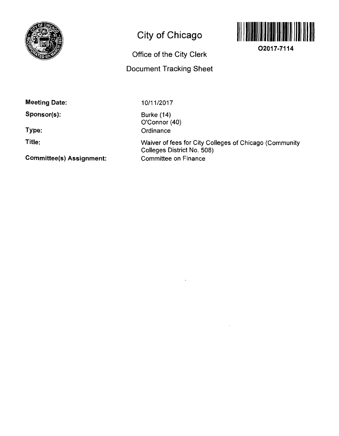

## **City of Chicago**



**02017-7114** 

**Office of the City Clerk** 

## **Document Tracking Sheet**

**Meeting Date:** 

**Sponsor(s):** 

**Type:** 

**Title:** 

**Committee(s) Assignment:** 

10/11/2017

Burke (14) O'Connor (40) **Ordinance** 

Waiver of fees for City Colleges of Chicago (Community Colleges District No. 508) Committee on Finance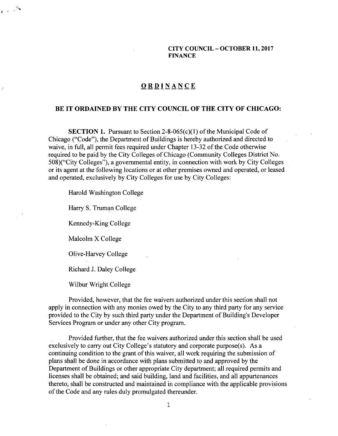**CITY COUNCIL - OCTOBER 11,2017 FINANCE** 

## **ORDINANC E**

## **BE IT ORDAINED BY THE CITY COUNCIL OF THE CITY OF CHICAGO:**

**SECTION 1.** Pursuant to Section 2-8-065(c)(1) of the Municipal Code of Chicago ("Code"), the Department of Buildings is hereby authorized and directed to waive, in full, all permit fees required under Chapter 13-32 of the Code otherwise required to be paid by the City Colleges of Chicago (Community Colleges District No. 508)("City Colleges"), a governmental entity, in connection with work by City Colleges or its agent at the following locations or at other premises owned and operated, or leased and operated, exclusively by City Colleges for use by City Colleges:

Harold Washington College

Harry S. Truman College

Kennedy-King College

Malcolm X College

 $\mathbf{r} \in \mathbb{R}^{\mathcal{R}_\mathbf{X}}$ 

Olive-Harvey College

Richard J. Daley College

Wilbur Wright College

Provided, however, that the fee waivers authorized under this secfion shall not apply in connection with any monies owed by the City to any third party for any service provided to the City by such third party under the Department of Building's Developer Services Program or under any other City program.

Provided further, that the fee waivers authorized under this section shall be used exclusively to carry out City College's statutory and corporate purpose(s). As a continuing condition to the grant of this waiver, all work requiring the submission of plans shall be done in accordance with plans submitted to and approved by the Department of Buildings or other appropriate City department; all required permits and licenses shall be obtained; and said building, land and facilifies, and all appurtenances thereto, shall be constructed and maintained in compliance with the applicable provisions of the Code and any rules duly promulgated thereunder.

1